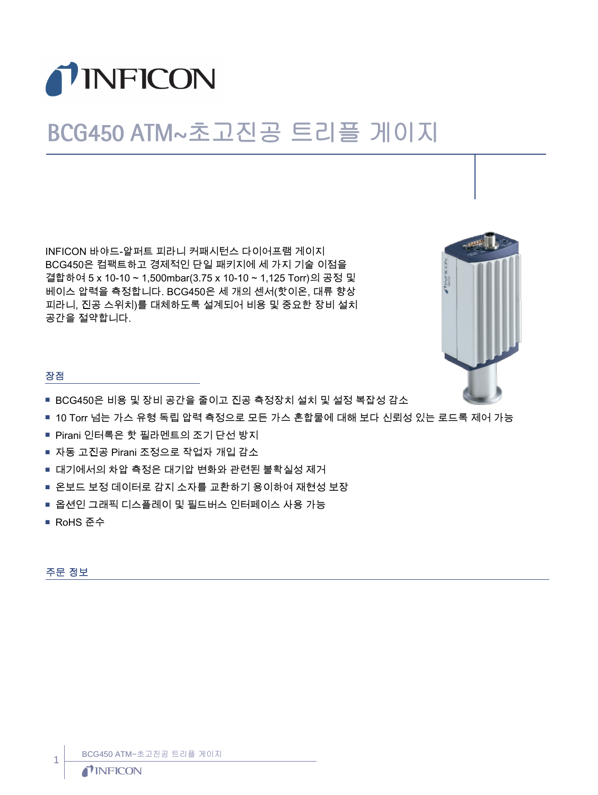

# BCG450 ATM~초고진공 트리플 게이지

INFICON 바야드-알퍼트 피라니 커패시턴스 다이어프램 게이지 BCG450은 컴팩트하고 경제적인 단일 패키지에 세 가지 기술 이점을 결합하여 5 x 10-10 ~ 1,500mbar(3.75 x 10-10 ~ 1,125 Torr)의 공정 및 베이스 압력을 측정합니다. BCG450은 세 개의 센서(핫이온, 대류 향상 피라니, 진공 스위치)를 대체하도록 설계되어 비용 및 중요한 장비 설치 공간을 절약합니다.



## 장점

- BCG450은 비용 및 장비 공간을 줄이고 진공 측정장치 설치 및 설정 복잡성 감소
- 10 Torr 넘는 가스 유형 독립 압력 측정으로 모든 가스 혼합물에 대해 보다 신뢰성 있는 로드록 제어 가능
- Pirani 인터록은 핫 필라멘트의 조기 단선 방지
- 자동 고진공 Pirani 조정으로 작업자 개입 감소
- 대기에서의 차압 측정은 대기압 변화와 관련된 불확실성 제거
- 온보드 보정 데이터로 감지 소자를 교환하기 용이하여 재현성 보장
- 옵션인 그래픽 디스플레이 및 필드버스 인터페이스 사용 가능
- RoHS 준수

주문 정보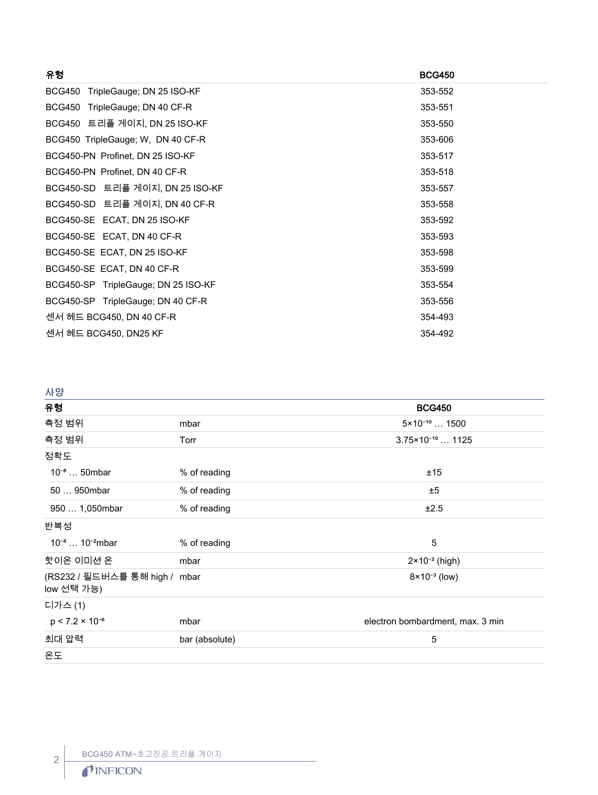| 유형                                  | <b>BCG450</b> |
|-------------------------------------|---------------|
| BCG450 TripleGauge; DN 25 ISO-KF    | 353-552       |
| BCG450 TripleGauge; DN 40 CF-R      | 353-551       |
| BCG450 트리플 게이지, DN 25 ISO-KF        | 353-550       |
| BCG450 TripleGauge; W, DN 40 CF-R   | 353-606       |
| BCG450-PN Profinet, DN 25 ISO-KF    | 353-517       |
| BCG450-PN Profinet, DN 40 CF-R      | 353-518       |
| BCG450-SD 트리플 게이지, DN 25 ISO-KF     | 353-557       |
| BCG450-SD 트리플 게이지, DN 40 CF-R       | 353-558       |
| BCG450-SE ECAT, DN 25 ISO-KF        | 353-592       |
| BCG450-SE ECAT, DN 40 CF-R          | 353-593       |
| BCG450-SE ECAT, DN 25 ISO-KF        | 353-598       |
| BCG450-SE ECAT, DN 40 CF-R          | 353-599       |
| BCG450-SP TripleGauge; DN 25 ISO-KF | 353-554       |
| BCG450-SP TripleGauge; DN 40 CF-R   | 353-556       |
| 센서 헤드 BCG450, DN 40 CF-R            | 354-493       |
| 센서 헤드 BCG450, DN25 KF               | 354-492       |
|                                     |               |

# 사양

| 유형                                          |                | <b>BCG450</b>                    |
|---------------------------------------------|----------------|----------------------------------|
| 측정 범위                                       | mbar           | $5 \times 10^{-10}$ 1500         |
| 측정 범위                                       | Torr           | $3.75 \times 10^{-10}$ 1125      |
| 정확도                                         |                |                                  |
| $10^{-8}$ 50mbar                            | % of reading   | ±15                              |
| 50  950mbar                                 | % of reading   | ±5                               |
| 950  1,050mbar                              | % of reading   | ±2.5                             |
| 반복성                                         |                |                                  |
| $10^{-8}$ $10^{-2}$ mbar                    | % of reading   | 5                                |
| 핫이온 이미션 온                                   | mbar           | $2 \times 10^{-2}$ (high)        |
| (RS232 / 필드버스를 통해 high / mbar<br>low 선택 가능) |                | $8 \times 10^{-3}$ (low)         |
| 디가스 (1)                                     |                |                                  |
| $p < 7.2 \times 10^{-6}$                    | mbar           | electron bombardment, max. 3 min |
| 최대 압력                                       | bar (absolute) | 5                                |
| 온도                                          |                |                                  |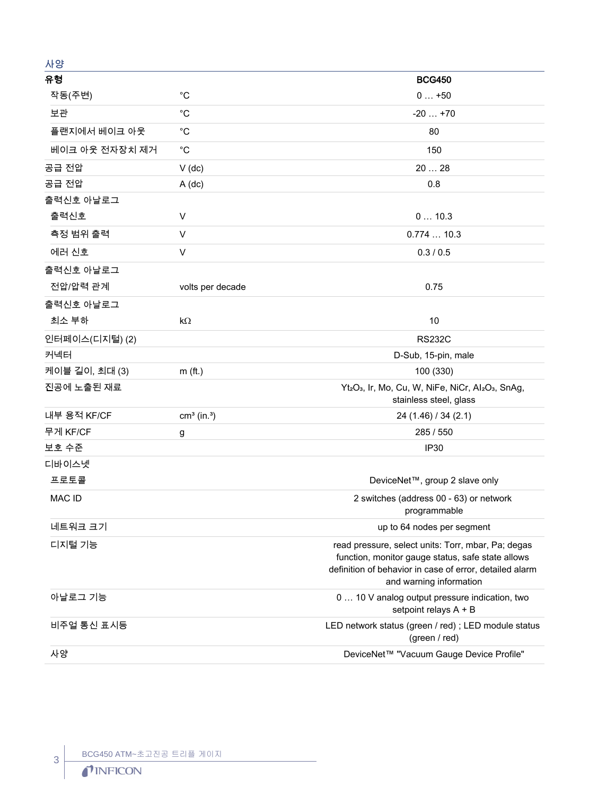| 사양             |                           |                                                                                                                                                                                               |
|----------------|---------------------------|-----------------------------------------------------------------------------------------------------------------------------------------------------------------------------------------------|
| 유형             |                           | <b>BCG450</b>                                                                                                                                                                                 |
| 작동(주변)         | $^{\circ}C$               | $0+50$                                                                                                                                                                                        |
| 보관             | $^{\circ}C$               | $-20+70$                                                                                                                                                                                      |
| 플랜지에서 베이크 아웃   | $^{\circ}C$               | 80                                                                                                                                                                                            |
| 베이크 아웃 전자장치 제거 | $^{\circ}C$               | 150                                                                                                                                                                                           |
| 공급 전압          | $V$ (dc)                  | 20  28                                                                                                                                                                                        |
| 공급 전압          | $A$ (dc)                  | 0.8                                                                                                                                                                                           |
| 출력신호 아날로그      |                           |                                                                                                                                                                                               |
| 출력신호           | V                         | 010.3                                                                                                                                                                                         |
| 측정 범위 출력       | V                         | 0.77410.3                                                                                                                                                                                     |
| 에러 신호          | V                         | 0.3 / 0.5                                                                                                                                                                                     |
| 출력신호 아날로그      |                           |                                                                                                                                                                                               |
| 전압/압력 관계       | volts per decade          | 0.75                                                                                                                                                                                          |
| 출력신호 아날로그      |                           |                                                                                                                                                                                               |
| 최소 부하          | $k\Omega$                 | 10                                                                                                                                                                                            |
| 인터페이스(디지털) (2) |                           | <b>RS232C</b>                                                                                                                                                                                 |
| 커넥터            |                           | D-Sub, 15-pin, male                                                                                                                                                                           |
| 케이블 길이, 최대 (3) | $m$ (ft.)                 | 100 (330)                                                                                                                                                                                     |
| 진공에 노출된 재료     |                           | Yt2O <sub>3</sub> , Ir, Mo, Cu, W, NiFe, NiCr, Al2O <sub>3</sub> , SnAg,<br>stainless steel, glass                                                                                            |
| 내부 용적 KF/CF    | $cm3$ (in. <sup>3</sup> ) | 24 (1.46) / 34 (2.1)                                                                                                                                                                          |
| 무게 KF/CF       | g                         | 285 / 550                                                                                                                                                                                     |
| 보호 수준          |                           | <b>IP30</b>                                                                                                                                                                                   |
| 디바이스넷          |                           |                                                                                                                                                                                               |
| 프로토콜           |                           | DeviceNet™, group 2 slave only                                                                                                                                                                |
| <b>MAC ID</b>  |                           | 2 switches (address 00 - 63) or network<br>programmable                                                                                                                                       |
| 네트워크 크기        |                           | up to 64 nodes per segment                                                                                                                                                                    |
| 디지털 기능         |                           | read pressure, select units: Torr, mbar, Pa; degas<br>function, monitor gauge status, safe state allows<br>definition of behavior in case of error, detailed alarm<br>and warning information |
| 아날로그 기능        |                           | 0  10 V analog output pressure indication, two<br>setpoint relays A + B                                                                                                                       |
| 비주얼 통신 표시등     |                           | LED network status (green / red) ; LED module status<br>(green / red)                                                                                                                         |
| 사양             |                           | DeviceNet™ "Vacuum Gauge Device Profile"                                                                                                                                                      |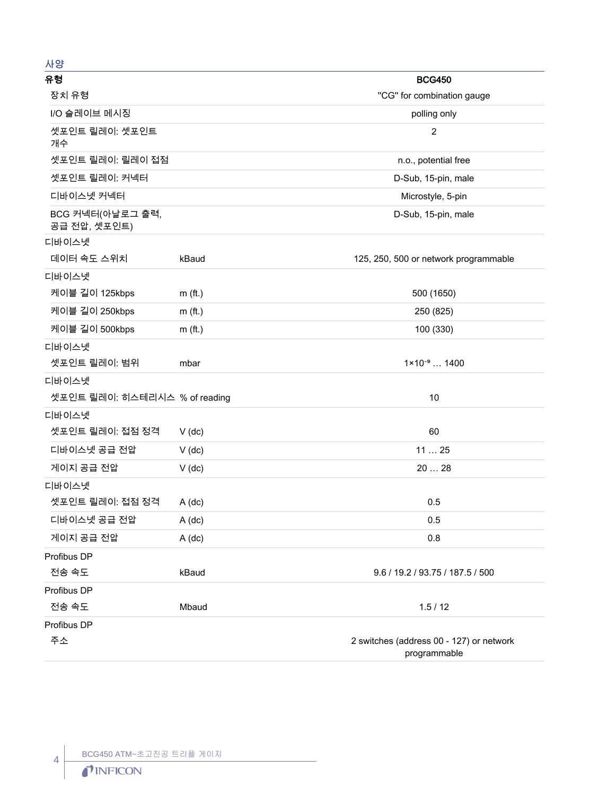## 사양

| 유형                               |           | <b>BCG450</b>                                            |
|----------------------------------|-----------|----------------------------------------------------------|
| 장치 유형                            |           | "CG" for combination gauge                               |
| I/O 슬레이브 메시징                     |           | polling only                                             |
| 셋포인트 릴레이: 셋포인트<br>개수             |           | $\overline{2}$                                           |
| 셋포인트 릴레이: 릴레이 접점                 |           | n.o., potential free                                     |
| 셋포인트 릴레이: 커넥터                    |           | D-Sub, 15-pin, male                                      |
| 디바이스넷 커넥터                        |           | Microstyle, 5-pin                                        |
| BCG 커넥터(아날로그 출력,<br>공급 전압, 셋포인트) |           | D-Sub, 15-pin, male                                      |
| 디바이스넷                            |           |                                                          |
| 데이터 속도 스위치                       | kBaud     | 125, 250, 500 or network programmable                    |
| 디바이스넷                            |           |                                                          |
| 케이블 길이 125kbps                   | $m$ (ft.) | 500 (1650)                                               |
| 케이블 길이 250kbps                   | $m$ (ft.) | 250 (825)                                                |
| 케이블 길이 500kbps                   | $m$ (ft.) | 100 (330)                                                |
| 디바이스넷                            |           |                                                          |
| 셋포인트 릴레이: 범위                     | mbar      | $1 \times 10^{-9}$ 1400                                  |
| 디바이스넷                            |           |                                                          |
| 셋포인트 릴레이: 히스테리시스 % of reading    |           | 10                                                       |
| 디바이스넷                            |           |                                                          |
| 셋포인트 릴레이: 접점 정격                  | $V$ (dc)  | 60                                                       |
| 디바이스넷 공급 전압                      | $V$ (dc)  | 1125                                                     |
| 게이지 공급 전압                        | $V$ (dc)  | 2028                                                     |
| 디바이스넷                            |           |                                                          |
| 셋포인트 릴레이: 접점 정격                  | $A$ (dc)  | 0.5                                                      |
| 디바이스넷 공급 전압                      | A (dc)    | 0.5                                                      |
| 게이지 공급 전압                        | $A$ (dc)  | 0.8                                                      |
| Profibus DP                      |           |                                                          |
| 전송 속도                            | kBaud     | 9.6 / 19.2 / 93.75 / 187.5 / 500                         |
| Profibus DP                      |           |                                                          |
| 전송 속도                            | Mbaud     | 1.5/12                                                   |
| Profibus DP                      |           |                                                          |
| 주소                               |           | 2 switches (address 00 - 127) or network<br>programmable |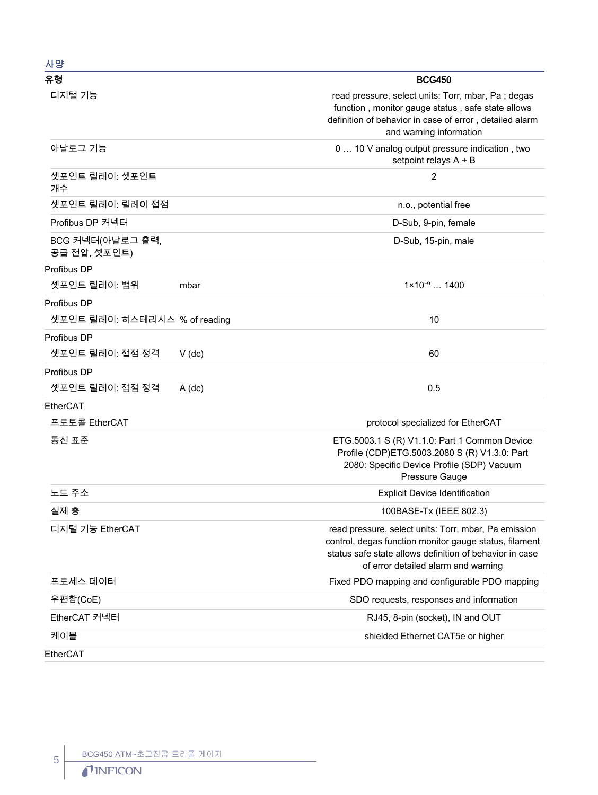| ᄭᇹ                                           |                                                                                                                                                                                                                  |
|----------------------------------------------|------------------------------------------------------------------------------------------------------------------------------------------------------------------------------------------------------------------|
| 유형                                           | <b>BCG450</b>                                                                                                                                                                                                    |
| 디지털 기능                                       | read pressure, select units: Torr, mbar, Pa; degas<br>function, monitor gauge status, safe state allows<br>definition of behavior in case of error, detailed alarm<br>and warning information                    |
| 아날로그 기능                                      | 0  10 V analog output pressure indication, two<br>setpoint relays A + B                                                                                                                                          |
| 셋포인트 릴레이: 셋포인트<br>개수                         | $\overline{2}$                                                                                                                                                                                                   |
| 셋포인트 릴레이: 릴레이 접점                             | n.o., potential free                                                                                                                                                                                             |
| Profibus DP 커넥터                              | D-Sub, 9-pin, female                                                                                                                                                                                             |
| BCG 커넥터(아날로그 출력,<br>공급 전압, 셋포인트)             | D-Sub, 15-pin, male                                                                                                                                                                                              |
| Profibus DP<br>셋포인트 릴레이: 범위<br>mbar          | $1 \times 10^{-9}$ 1400                                                                                                                                                                                          |
| Profibus DP<br>셋포인트 릴레이: 히스테리시스 % of reading | 10                                                                                                                                                                                                               |
| Profibus DP<br>셋포인트 릴레이: 접점 정격<br>$V$ (dc)   | 60                                                                                                                                                                                                               |
| Profibus DP<br>셋포인트 릴레이: 접점 정격<br>$A$ (dc)   | 0.5                                                                                                                                                                                                              |
| EtherCAT<br>프로토콜 EtherCAT                    | protocol specialized for EtherCAT                                                                                                                                                                                |
| 통신 표준                                        | ETG.5003.1 S (R) V1.1.0: Part 1 Common Device<br>Profile (CDP)ETG.5003.2080 S (R) V1.3.0: Part<br>2080: Specific Device Profile (SDP) Vacuum<br>Pressure Gauge                                                   |
| 노드 주소                                        | <b>Explicit Device Identification</b>                                                                                                                                                                            |
| 실제 층                                         | 100BASE-Tx (IEEE 802.3)                                                                                                                                                                                          |
| 디지털 기능 EtherCAT                              | read pressure, select units: Torr, mbar, Pa emission<br>control, degas function monitor gauge status, filament<br>status safe state allows definition of behavior in case<br>of error detailed alarm and warning |
| 프로세스 데이터                                     | Fixed PDO mapping and configurable PDO mapping                                                                                                                                                                   |
| 우편함(CoE)                                     | SDO requests, responses and information                                                                                                                                                                          |
| EtherCAT 커넥터                                 | RJ45, 8-pin (socket), IN and OUT                                                                                                                                                                                 |
| 케이블                                          | shielded Ethernet CAT5e or higher                                                                                                                                                                                |
| EtherCAT                                     |                                                                                                                                                                                                                  |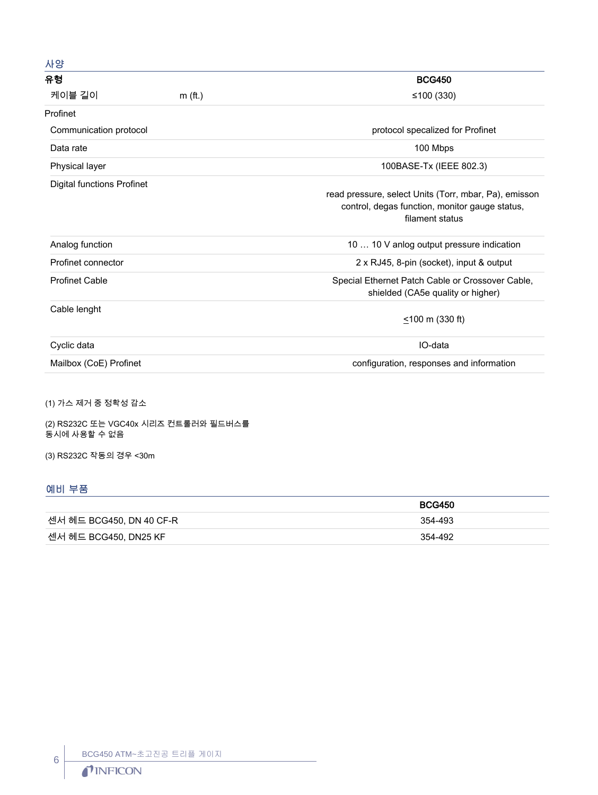| 사양                                |           |                                                                                                                            |
|-----------------------------------|-----------|----------------------------------------------------------------------------------------------------------------------------|
| 유형                                |           | <b>BCG450</b>                                                                                                              |
| 케이블 길이                            | $m$ (ft.) | ≤100 $(330)$                                                                                                               |
| Profinet                          |           |                                                                                                                            |
| Communication protocol            |           | protocol specalized for Profinet                                                                                           |
| Data rate                         |           | 100 Mbps                                                                                                                   |
| Physical layer                    |           | 100BASE-Tx (IEEE 802.3)                                                                                                    |
| <b>Digital functions Profinet</b> |           | read pressure, select Units (Torr, mbar, Pa), emisson<br>control, degas function, monitor gauge status,<br>filament status |
| Analog function                   |           | 10  10 V anlog output pressure indication                                                                                  |
| Profinet connector                |           | 2 x RJ45, 8-pin (socket), input & output                                                                                   |
| <b>Profinet Cable</b>             |           | Special Ethernet Patch Cable or Crossover Cable,<br>shielded (CA5e quality or higher)                                      |
| Cable lenght                      |           | $\leq$ 100 m (330 ft)                                                                                                      |
| Cyclic data                       |           | IO-data                                                                                                                    |
| Mailbox (CoE) Profinet            |           | configuration, responses and information                                                                                   |

(1) 가스 제거 중 정확성 감소

(2) RS232C 또는 VGC40x 시리즈 컨트롤러와 필드버스를 동시에 사용할 수 없음

(3) RS232C 작동의 경우 <30m

### 예비 부품

|                          | <b>BCG450</b> |
|--------------------------|---------------|
| 센서 헤드 BCG450, DN 40 CF-R | 354-493       |
| 센서 헤드 BCG450, DN25 KF    | 354-492       |